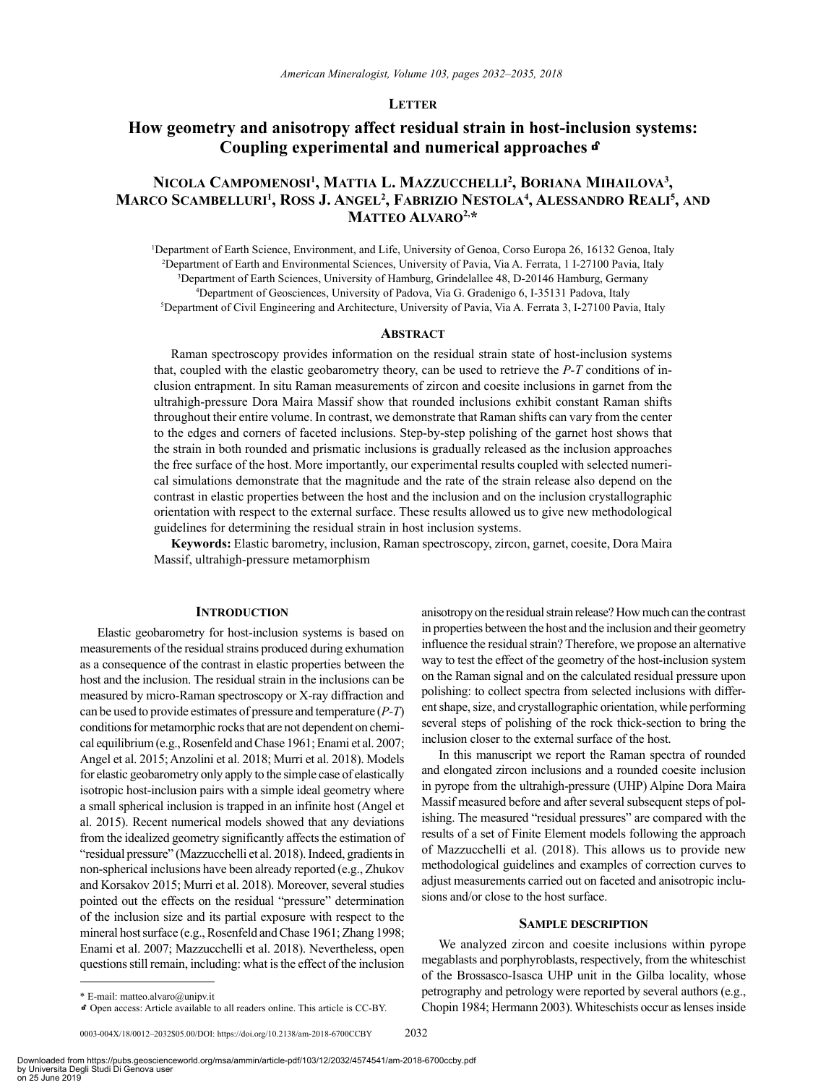## **Letter**

# **How geometry and anisotropy affect residual strain in host-inclusion systems: Coupling experimental and numerical approaches**k

## **Nicola Campomenosi1 , Mattia L. Mazzucchelli 2 , Boriana Mihailova3 ,**   $M$ arco Scambelluri<sup>1</sup>, Ross J. Angel<sup>2</sup>, Fabrizio Nestola<sup>4</sup>, Alessandro Reali<sup>5</sup>, and **Matteo Alvaro2,\***

<sup>1</sup>Department of Earth Science, Environment, and Life, University of Genoa, Corso Europa 26, 16132 Genoa, Italy Department of Earth and Environmental Sciences, University of Pavia, Via A. Ferrata, 1 I-27100 Pavia, Italy Department of Earth Sciences, University of Hamburg, Grindelallee 48, D-20146 Hamburg, Germany Department of Geosciences, University of Padova, Via G. Gradenigo 6, I-35131 Padova, Italy Department of Civil Engineering and Architecture, University of Pavia, Via A. Ferrata 3, I-27100 Pavia, Italy

#### **ABSTRACT**

Raman spectroscopy provides information on the residual strain state of host-inclusion systems that, coupled with the elastic geobarometry theory, can be used to retrieve the *P-T* conditions of inclusion entrapment. In situ Raman measurements of zircon and coesite inclusions in garnet from the ultrahigh-pressure Dora Maira Massif show that rounded inclusions exhibit constant Raman shifts throughout their entire volume. In contrast, we demonstrate that Raman shifts can vary from the center to the edges and corners of faceted inclusions. Step-by-step polishing of the garnet host shows that the strain in both rounded and prismatic inclusions is gradually released as the inclusion approaches the free surface of the host. More importantly, our experimental results coupled with selected numerical simulations demonstrate that the magnitude and the rate of the strain release also depend on the contrast in elastic properties between the host and the inclusion and on the inclusion crystallographic orientation with respect to the external surface. These results allowed us to give new methodological guidelines for determining the residual strain in host inclusion systems.

**Keywords:** Elastic barometry, inclusion, Raman spectroscopy, zircon, garnet, coesite, Dora Maira Massif, ultrahigh-pressure metamorphism

#### **INTRODUCTION**

Elastic geobarometry for host-inclusion systems is based on measurements of the residual strains produced during exhumation as a consequence of the contrast in elastic properties between the host and the inclusion. The residual strain in the inclusions can be measured by micro-Raman spectroscopy or X-ray diffraction and can be used to provide estimates of pressure and temperature (*P-T*) conditions for metamorphic rocks that are not dependent on chemical equilibrium (e.g., Rosenfeld and Chase 1961; Enami et al. 2007; Angel et al. 2015; Anzolini et al. 2018; Murri et al. 2018). Models for elastic geobarometry only apply to the simple case of elastically isotropic host-inclusion pairs with a simple ideal geometry where a small spherical inclusion is trapped in an infinite host (Angel et al. 2015). Recent numerical models showed that any deviations from the idealized geometry significantly affects the estimation of "residual pressure" (Mazzucchelli et al. 2018). Indeed, gradients in non-spherical inclusions have been already reported (e.g., Zhukov and Korsakov 2015; Murri et al. 2018). Moreover, several studies pointed out the effects on the residual "pressure" determination of the inclusion size and its partial exposure with respect to the mineral host surface (e.g., Rosenfeld and Chase 1961; Zhang 1998; Enami et al. 2007; Mazzucchelli et al. 2018). Nevertheless, open questions still remain, including: what is the effect of the inclusion

anisotropy on the residual strain release? How much can the contrast in properties between the host and the inclusion and their geometry influence the residual strain? Therefore, we propose an alternative way to test the effect of the geometry of the host-inclusion system on the Raman signal and on the calculated residual pressure upon polishing: to collect spectra from selected inclusions with different shape, size, and crystallographic orientation, while performing several steps of polishing of the rock thick-section to bring the inclusion closer to the external surface of the host.

In this manuscript we report the Raman spectra of rounded and elongated zircon inclusions and a rounded coesite inclusion in pyrope from the ultrahigh-pressure (UHP) Alpine Dora Maira Massif measured before and after several subsequent steps of polishing. The measured "residual pressures" are compared with the results of a set of Finite Element models following the approach of Mazzucchelli et al. (2018). This allows us to provide new methodological guidelines and examples of correction curves to adjust measurements carried out on faceted and anisotropic inclusions and/or close to the host surface.

## **Sample description**

We analyzed zircon and coesite inclusions within pyrope megablasts and porphyroblasts, respectively, from the whiteschist of the Brossasco-Isasca UHP unit in the Gilba locality, whose petrography and petrology were reported by several authors (e.g., Chopin 1984; Hermann 2003). Whiteschists occur as lenses inside

<sup>\*</sup> E-mail: [matteo.alvaro@unipv.it](mailto:matteo.alvaro@unipv.it)

kOpen access: Article available to all readers online. This article is CC-BY.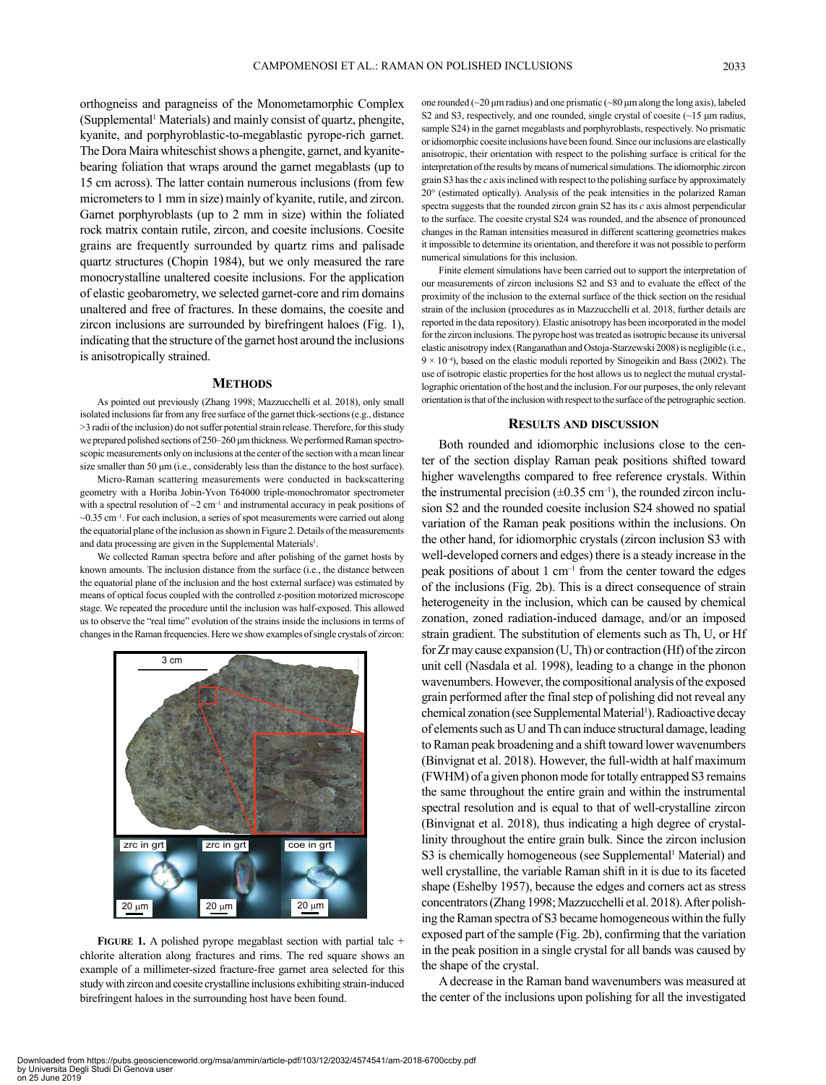orthogneiss and paragneiss of the Monometamorphic Complex (Supplemental1 Materials) and mainly consist of quartz, phengite, kyanite, and porphyroblastic-to-megablastic pyrope-rich garnet. The Dora Maira whiteschist shows a phengite, garnet, and kyanitebearing foliation that wraps around the garnet megablasts (up to 15 cm across). The latter contain numerous inclusions (from few micrometers to 1 mm in size) mainly of kyanite, rutile, and zircon. Garnet porphyroblasts (up to 2 mm in size) within the foliated rock matrix contain rutile, zircon, and coesite inclusions. Coesite grains are frequently surrounded by quartz rims and palisade quartz structures (Chopin 1984), but we only measured the rare monocrystalline unaltered coesite inclusions. For the application of elastic geobarometry, we selected garnet-core and rim domains unaltered and free of fractures. In these domains, the coesite and zircon inclusions are surrounded by birefringent haloes (Fig. 1), indicating that the structure of the garnet host around the inclusions is anisotropically strained.

#### **METHODS**

As pointed out previously (Zhang 1998; Mazzucchelli et al. 2018), only small isolated inclusions far from any free surface of the garnet thick-sections (e.g., distance >3 radii of the inclusion) do not suffer potential strain release. Therefore, for this study we prepared polished sections of 250–260 μm thickness. We performed Raman spectroscopic measurements only on inclusions at the center of the section with a mean linear size smaller than 50 μm (i.e., considerably less than the distance to the host surface).

Micro-Raman scattering measurements were conducted in backscattering geometry with a Horiba Jobin-Yvon T64000 triple-monochromator spectrometer with a spectral resolution of  $\sim$ 2 cm<sup>-1</sup> and instrumental accuracy in peak positions of  $\sim$ 0.35 cm<sup>-1</sup>. For each inclusion, a series of spot measurements were carried out along the equatorial plane of the inclusion as shown in Figure 2. Details of the measurements and data processing are given in the Supplemental Materials<sup>1</sup>.

We collected Raman spectra before and after polishing of the garnet hosts by known amounts. The inclusion distance from the surface (i.e., the distance between the equatorial plane of the inclusion and the host external surface) was estimated by means of optical focus coupled with the controlled z-position motorized microscope stage. We repeated the procedure until the inclusion was half-exposed. This allowed us to observe the "real time" evolution of the strains inside the inclusions in terms of changes in the Raman frequencies. Here we show examples of single crystals of zircon:



FIGURE 1. A polished pyrope megablast section with partial talc + chlorite alteration along fractures and rims. The red square shows an example of a millimeter-sized fracture-free garnet area selected for this study with zircon and coesite crystalline inclusions exhibiting strain-induced birefringent haloes in the surrounding host have been found.

one rounded ( $\sim$ 20 μm radius) and one prismatic ( $\sim$ 80 μm along the long axis), labeled S2 and S3, respectively, and one rounded, single crystal of coesite (~15 μm radius, sample S24) in the garnet megablasts and porphyroblasts, respectively. No prismatic or idiomorphic coesite inclusions have been found. Since our inclusions are elastically anisotropic, their orientation with respect to the polishing surface is critical for the interpretation of the results by means of numerical simulations. The idiomorphic zircon grain S3 has the *c* axis inclined with respect to the polishing surface by approximately 20° (estimated optically). Analysis of the peak intensities in the polarized Raman spectra suggests that the rounded zircon grain S2 has its *c* axis almost perpendicular to the surface. The coesite crystal S24 was rounded, and the absence of pronounced changes in the Raman intensities measured in different scattering geometries makes it impossible to determine its orientation, and therefore it was not possible to perform numerical simulations for this inclusion.

Finite element simulations have been carried out to support the interpretation of our measurements of zircon inclusions S2 and S3 and to evaluate the effect of the proximity of the inclusion to the external surface of the thick section on the residual strain of the inclusion (procedures as in Mazzucchelli et al. 2018, further details are reported in the data repository). Elastic anisotropy has been incorporated in the model for the zircon inclusions. The pyrope host was treated as isotropic because its universal elastic anisotropy index (Ranganathan and Ostoja-Starzewski 2008) is negligible (i.e.,  $9 \times 10^{-4}$ ), based on the elastic moduli reported by Sinogeikin and Bass (2002). The use of isotropic elastic properties for the host allows us to neglect the mutual crystallographic orientation of the host and the inclusion. For our purposes, the only relevant orientation is that of the inclusion with respect to the surface of the petrographic section.

#### **Results and discussion**

Both rounded and idiomorphic inclusions close to the center of the section display Raman peak positions shifted toward higher wavelengths compared to free reference crystals. Within the instrumental precision  $(\pm 0.35 \text{ cm}^{-1})$ , the rounded zircon inclusion S2 and the rounded coesite inclusion S24 showed no spatial variation of the Raman peak positions within the inclusions. On the other hand, for idiomorphic crystals (zircon inclusion S3 with well-developed corners and edges) there is a steady increase in the peak positions of about  $1 \text{ cm}^{-1}$  from the center toward the edges of the inclusions (Fig. 2b). This is a direct consequence of strain heterogeneity in the inclusion, which can be caused by chemical zonation, zoned radiation-induced damage, and/or an imposed strain gradient. The substitution of elements such as Th, U, or Hf for Zr may cause expansion (U, Th) or contraction (Hf) of the zircon unit cell (Nasdala et al. 1998), leading to a change in the phonon wavenumbers. However, the compositional analysis of the exposed grain performed after the final step of polishing did not reveal any chemical zonation (see Supplemental Material<sup>1</sup>). Radioactive decay of elements such as U and Th can induce structural damage, leading to Raman peak broadening and a shift toward lower wavenumbers (Binvignat et al. 2018). However, the full-width at half maximum (FWHM) of a given phonon mode for totally entrapped S3 remains the same throughout the entire grain and within the instrumental spectral resolution and is equal to that of well-crystalline zircon (Binvignat et al. 2018), thus indicating a high degree of crystallinity throughout the entire grain bulk. Since the zircon inclusion S3 is chemically homogeneous (see Supplemental<sup>1</sup> Material) and well crystalline, the variable Raman shift in it is due to its faceted shape (Eshelby 1957), because the edges and corners act as stress concentrators (Zhang 1998; Mazzucchelli et al. 2018). After polishing the Raman spectra of S3 became homogeneous within the fully exposed part of the sample (Fig. 2b), confirming that the variation in the peak position in a single crystal for all bands was caused by the shape of the crystal.

A decrease in the Raman band wavenumbers was measured at the center of the inclusions upon polishing for all the investigated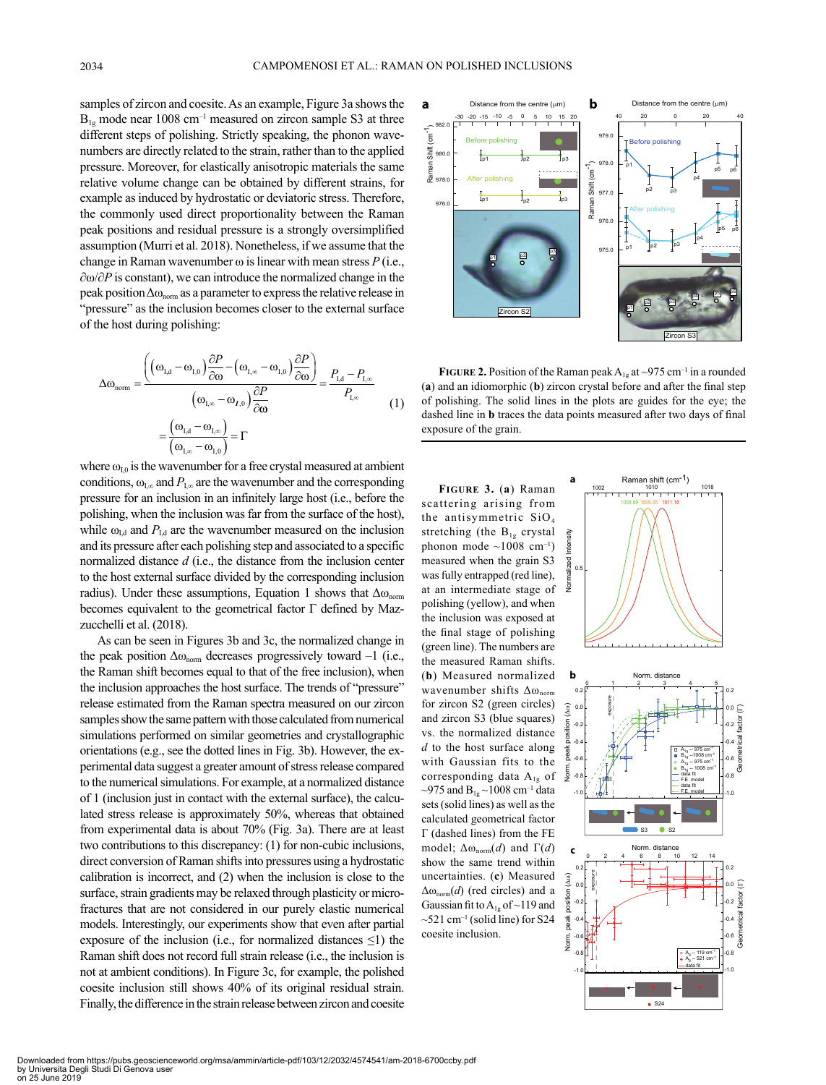samples of zircon and coesite. As an example, Figure 3a shows the  $\mathbf{a}$  **b**  $\mathbf{b}$  **b**  $\mathbf{b}$  $B_{1g}$  mode near 1008 cm<sup>-1</sup> measured on zircon sample S3 at three different steps of polishing. Strictly speaking, the phonon wavenumbers are directly related to the strain, rather than to the applied pressure. Moreover, for elastically anisotropic materials the same relative volume change can be obtained by different strains, for example as induced by hydrostatic or deviatoric stress. Therefore, the commonly used direct proportionality between the Raman peak positions and residual pressure is a strongly oversimplified assumption (Murri et al. 2018). Nonetheless, if we assume that the change in Raman wavenumber  $\omega$  is linear with mean stress  $P$  (i.e., ∂ω/∂*P* is constant), we can introduce the normalized change in the peak position  $\Delta\omega_{\text{norm}}$  as a parameter to express the relative release in "pressure" as the inclusion becomes closer to the external surface of the host during polishing:

$$
\Delta\omega_{\text{norm}} = \frac{\left( \left( \omega_{\text{L,d}} - \omega_{\text{L,0}} \right) \frac{\partial P}{\partial \omega} - \left( \omega_{\text{L},\infty} - \omega_{\text{L,0}} \right) \frac{\partial P}{\partial \omega} \right)}{\left( \omega_{\text{L},\infty} - \omega_{\text{L,0}} \right) \frac{\partial P}{\partial \omega}} = \frac{P_{\text{L,d}} - P_{\text{L},\infty}}{P_{\text{L},\infty}}
$$
\n
$$
= \frac{\left( \omega_{\text{L,d}} - \omega_{\text{L},\infty} \right)}{\left( \omega_{\text{L},\infty} - \omega_{\text{L,0}} \right)} = \Gamma
$$
\n(1)

where  $\omega_{10}$  is the wavenumber for a free crystal measured at ambient conditions,  $\omega_{\text{I},\infty}$  and  $P_{\text{I},\infty}$  are the wavenumber and the corresponding pressure for an inclusion in an infinitely large host (i.e., before the polishing, when the inclusion was far from the surface of the host), while  $\omega_{\text{Ld}}$  and  $P_{\text{Ld}}$  are the wavenumber measured on the inclusion and its pressure after each polishing step and associated to a specific normalized distance *d* (i.e., the distance from the inclusion center to the host external surface divided by the corresponding inclusion radius). Under these assumptions, Equation 1 shows that  $\Delta\omega_{\text{norm}}$ becomes equivalent to the geometrical factor Γ defined by Mazzucchelli et al. (2018).

As can be seen in Figures 3b and 3c, the normalized change in the peak position  $\Delta\omega_{\text{norm}}$  decreases progressively toward –1 (i.e., the Raman shift becomes equal to that of the free inclusion), when the inclusion approaches the host surface. The trends of "pressure" release estimated from the Raman spectra measured on our zircon samples show the same pattern with those calculated from numerical simulations performed on similar geometries and crystallographic orientations (e.g., see the dotted lines in Fig. 3b). However, the experimental data suggest a greater amount of stress release compared to the numerical simulations. For example, at a normalized distance of 1 (inclusion just in contact with the external surface), the calculated stress release is approximately 50%, whereas that obtained from experimental data is about 70% (Fig. 3a). There are at least two contributions to this discrepancy: (1) for non-cubic inclusions, direct conversion of Raman shifts into pressures using a hydrostatic calibration is incorrect, and (2) when the inclusion is close to the surface, strain gradients may be relaxed through plasticity or microfractures that are not considered in our purely elastic numerical models. Interestingly, our experiments show that even after partial exposure of the inclusion (i.e., for normalized distances  $\leq$ 1) the Raman shift does not record full strain release (i.e., the inclusion is not at ambient conditions). In Figure 3c, for example, the polished coesite inclusion still shows 40% of its original residual strain. Finally, the difference in the strain release between zircon and coesite



**FIGURE 2.** Position of the Raman peak  $A_{1g}$  at ~975 cm<sup>-1</sup> in a rounded  $(a)$  and an idiomorphic  $(b)$  zircon crystal before and after the final step of polishing. The solid lines in the plots are guides for the eye; the dashed line in **b** traces the data points measured after two days of final exposure of the grain. (a)<br>of<br>exp

**a**

-40 -20 0 20 40 **Figure 3.** (**a**) Raman measured when the grain S3 stretching (the  $B_{1g}$  crystal the antisymmetric  $SiO<sub>4</sub>$ scattering arising from phonon mode  $\sim$ 1008 cm<sup>-1</sup>) was fully entrapped (red line), at an intermediate stage of polishing (yellow), and when the inclusion was exposed at the final stage of polishing (green line). The numbers are the measured Raman shifts. (**b**) Measured normalized wavenumber shifts  $\Delta\omega_{norm}$ for zircon S2 (green circles) and zircon S3 (blue squares) vs. the normalized distance *d* to the host surface along with Gaussian fits to the corresponding data A<sub>1g</sub> of ~975 and  $B_{1g}$  ~1008 cm<sup>-1</sup> data sets (solid lines) as well as the calculated geometrical factor Γ (dashed lines) from the FE model;  $Δω_{norm}(d)$  and  $Γ(d)$ show the same trend within uncertainties. (**c**) Measured Δωnorm(*d*) (red circles) and a Gaussian fit to  $A_{1g}$  of ~119 and  $\sim$ 521 cm<sup>-1</sup> (solid line) for S24 coesite inclusion.

976.0



Raman shift (cm-1) 1002 1010 1018